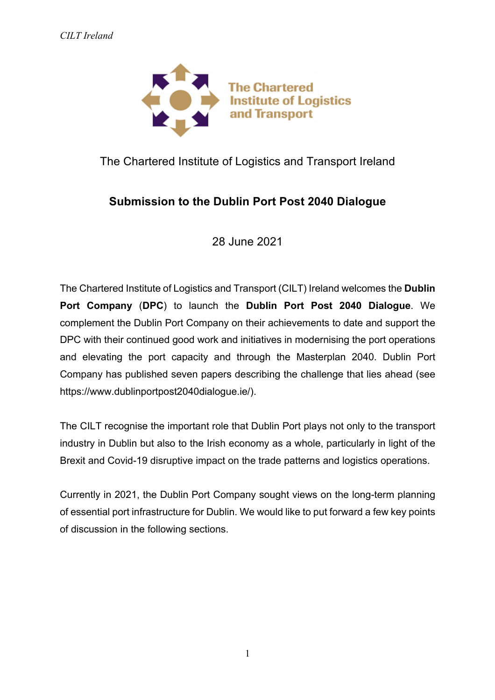

# The Chartered Institute of Logistics and Transport Ireland

# **Submission to the Dublin Port Post 2040 Dialogue**

28 June 2021

The Chartered Institute of Logistics and Transport (CILT) Ireland welcomes the **Dublin Port Company** (**DPC**) to launch the **Dublin Port Post 2040 Dialogue**. We complement the Dublin Port Company on their achievements to date and support the DPC with their continued good work and initiatives in modernising the port operations and elevating the port capacity and through the Masterplan 2040. Dublin Port Company has published seven papers describing the challenge that lies ahead (see https://www.dublinportpost2040dialogue.ie/).

The CILT recognise the important role that Dublin Port plays not only to the transport industry in Dublin but also to the Irish economy as a whole, particularly in light of the Brexit and Covid-19 disruptive impact on the trade patterns and logistics operations.

Currently in 2021, the Dublin Port Company sought views on the long-term planning of essential port infrastructure for Dublin. We would like to put forward a few key points of discussion in the following sections.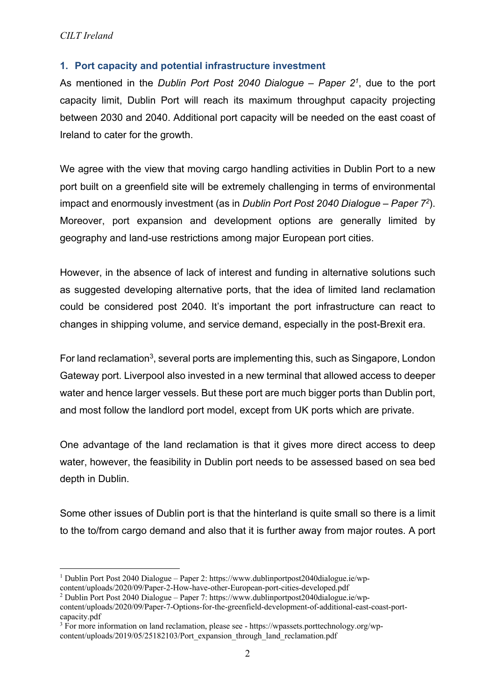### *CILT Ireland*

### **1. Port capacity and potential infrastructure investment**

As mentioned in the *Dublin Port Post 2040 Dialogue – Paper 21*, due to the port capacity limit, Dublin Port will reach its maximum throughput capacity projecting between 2030 and 2040. Additional port capacity will be needed on the east coast of Ireland to cater for the growth.

We agree with the view that moving cargo handling activities in Dublin Port to a new port built on a greenfield site will be extremely challenging in terms of environmental impact and enormously investment (as in *Dublin Port Post 2040 Dialogue – Paper 72*). Moreover, port expansion and development options are generally limited by geography and land-use restrictions among major European port cities.

However, in the absence of lack of interest and funding in alternative solutions such as suggested developing alternative ports, that the idea of limited land reclamation could be considered post 2040. It's important the port infrastructure can react to changes in shipping volume, and service demand, especially in the post-Brexit era.

For land reclamation<sup>3</sup>, several ports are implementing this, such as Singapore, London Gateway port. Liverpool also invested in a new terminal that allowed access to deeper water and hence larger vessels. But these port are much bigger ports than Dublin port, and most follow the landlord port model, except from UK ports which are private.

One advantage of the land reclamation is that it gives more direct access to deep water, however, the feasibility in Dublin port needs to be assessed based on sea bed depth in Dublin.

Some other issues of Dublin port is that the hinterland is quite small so there is a limit to the to/from cargo demand and also that it is further away from major routes. A port

 <sup>1</sup> Dublin Port Post 2040 Dialogue – Paper 2: https://www.dublinportpost2040dialogue.ie/wpcontent/uploads/2020/09/Paper-2-How-have-other-European-port-cities-developed.pdf

<sup>2</sup> Dublin Port Post 2040 Dialogue – Paper 7: https://www.dublinportpost2040dialogue.ie/wp-

content/uploads/2020/09/Paper-7-Options-for-the-greenfield-development-of-additional-east-coast-portcapacity.pdf

<sup>&</sup>lt;sup>3</sup> For more information on land reclamation, please see - https://wpassets.porttechnology.org/wpcontent/uploads/2019/05/25182103/Port\_expansion\_through\_land\_reclamation.pdf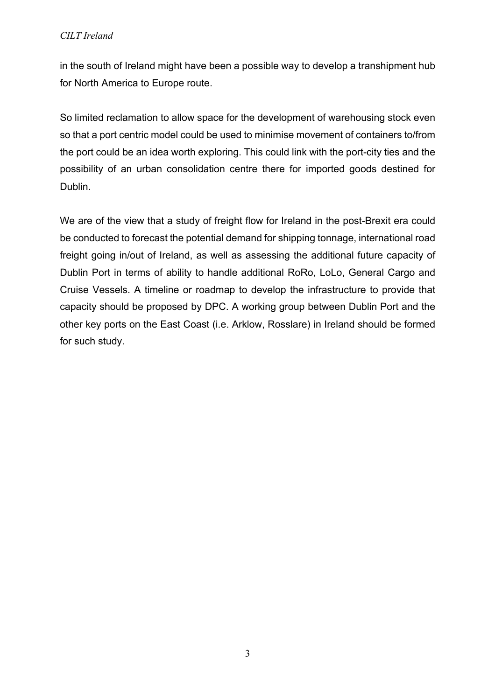## *CILT Ireland*

in the south of Ireland might have been a possible way to develop a transhipment hub for North America to Europe route.

So limited reclamation to allow space for the development of warehousing stock even so that a port centric model could be used to minimise movement of containers to/from the port could be an idea worth exploring. This could link with the port-city ties and the possibility of an urban consolidation centre there for imported goods destined for Dublin.

We are of the view that a study of freight flow for Ireland in the post-Brexit era could be conducted to forecast the potential demand for shipping tonnage, international road freight going in/out of Ireland, as well as assessing the additional future capacity of Dublin Port in terms of ability to handle additional RoRo, LoLo, General Cargo and Cruise Vessels. A timeline or roadmap to develop the infrastructure to provide that capacity should be proposed by DPC. A working group between Dublin Port and the other key ports on the East Coast (i.e. Arklow, Rosslare) in Ireland should be formed for such study.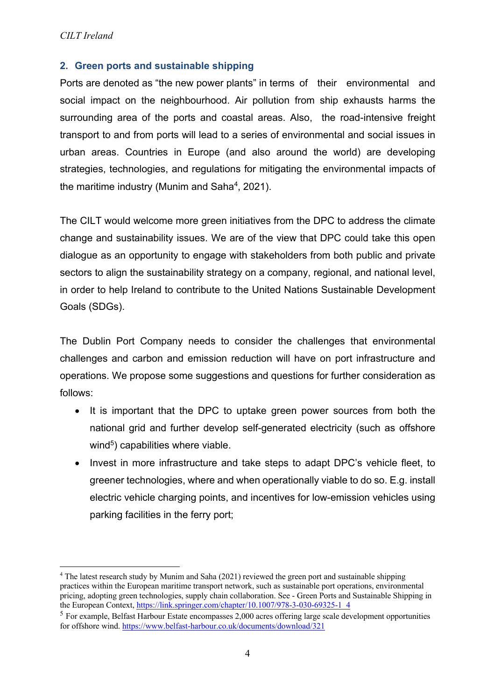### **2. Green ports and sustainable shipping**

Ports are denoted as "the new power plants" in terms of their environmental and social impact on the neighbourhood. Air pollution from ship exhausts harms the surrounding area of the ports and coastal areas. Also, the road-intensive freight transport to and from ports will lead to a series of environmental and social issues in urban areas. Countries in Europe (and also around the world) are developing strategies, technologies, and regulations for mitigating the environmental impacts of the maritime industry (Munim and Saha<sup>4</sup>, 2021).

The CILT would welcome more green initiatives from the DPC to address the climate change and sustainability issues. We are of the view that DPC could take this open dialogue as an opportunity to engage with stakeholders from both public and private sectors to align the sustainability strategy on a company, regional, and national level, in order to help Ireland to contribute to the United Nations Sustainable Development Goals (SDGs).

The Dublin Port Company needs to consider the challenges that environmental challenges and carbon and emission reduction will have on port infrastructure and operations. We propose some suggestions and questions for further consideration as follows:

- It is important that the DPC to uptake green power sources from both the national grid and further develop self-generated electricity (such as offshore wind $5$ ) capabilities where viable.
- Invest in more infrastructure and take steps to adapt DPC's vehicle fleet, to greener technologies, where and when operationally viable to do so. E.g. install electric vehicle charging points, and incentives for low-emission vehicles using parking facilities in the ferry port;

 <sup>4</sup> The latest research study by Munim and Saha (2021) reviewed the green port and sustainable shipping practices within the European maritime transport network, such as sustainable port operations, environmental pricing, adopting green technologies, supply chain collaboration. See - Green Ports and Sustainable Shipping in the European Context, https://link.springer.com/chapter/10.1007/978-3-030-69325-1\_4

 $<sup>5</sup>$  For example. Belfast Harbour Estate encompasses 2,000 acres offering large scale development opportunities</sup> for offshore wind. https://www.belfast-harbour.co.uk/documents/download/321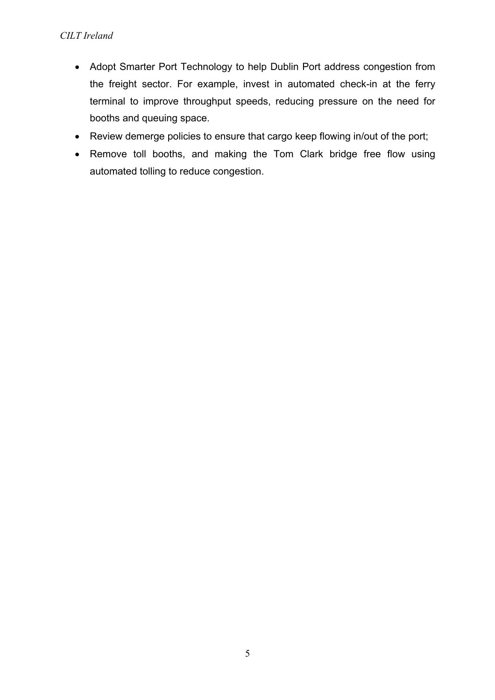- Adopt Smarter Port Technology to help Dublin Port address congestion from the freight sector. For example, invest in automated check-in at the ferry terminal to improve throughput speeds, reducing pressure on the need for booths and queuing space.
- Review demerge policies to ensure that cargo keep flowing in/out of the port;
- Remove toll booths, and making the Tom Clark bridge free flow using automated tolling to reduce congestion.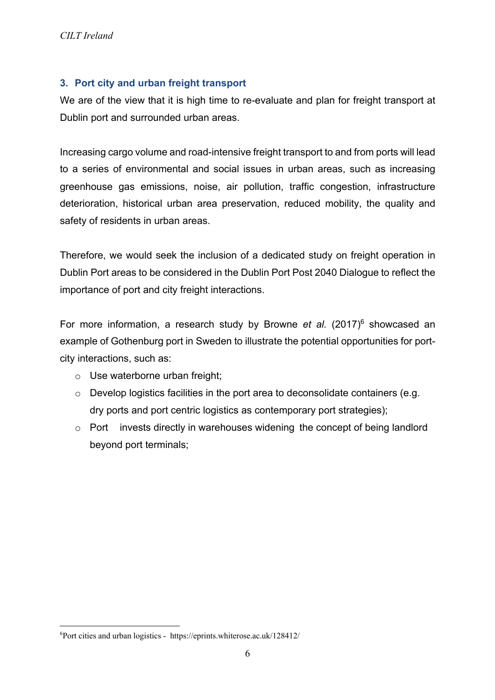# **3. Port city and urban freight transport**

We are of the view that it is high time to re-evaluate and plan for freight transport at Dublin port and surrounded urban areas.

Increasing cargo volume and road-intensive freight transport to and from ports will lead to a series of environmental and social issues in urban areas, such as increasing greenhouse gas emissions, noise, air pollution, traffic congestion, infrastructure deterioration, historical urban area preservation, reduced mobility, the quality and safety of residents in urban areas.

Therefore, we would seek the inclusion of a dedicated study on freight operation in Dublin Port areas to be considered in the Dublin Port Post 2040 Dialogue to reflect the importance of port and city freight interactions.

For more information, a research study by Browne *et al.* (2017)<sup>6</sup> showcased an example of Gothenburg port in Sweden to illustrate the potential opportunities for portcity interactions, such as:

- o Use waterborne urban freight;
- o Develop logistics facilities in the port area to deconsolidate containers (e.g. dry ports and port centric logistics as contemporary port strategies);
- o Port invests directly in warehouses widening the concept of being landlord beyond port terminals;

 $\frac{1}{6}$ Port cities and urban logistics - https://eprints.whiterose.ac.uk/128412/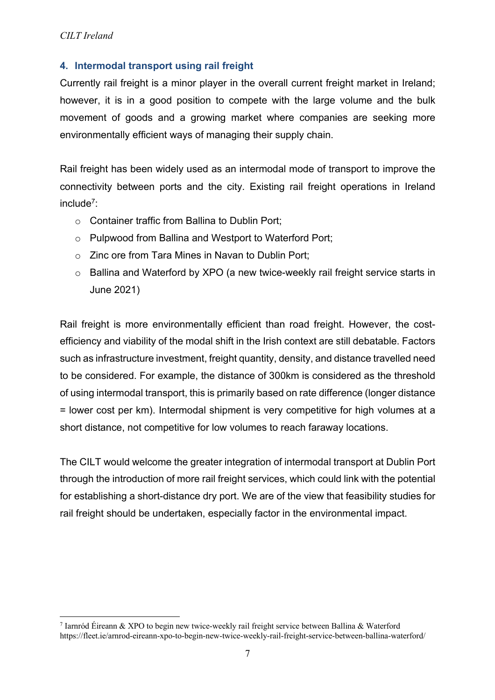# **4. Intermodal transport using rail freight**

Currently rail freight is a minor player in the overall current freight market in Ireland; however, it is in a good position to compete with the large volume and the bulk movement of goods and a growing market where companies are seeking more environmentally efficient ways of managing their supply chain.

Rail freight has been widely used as an intermodal mode of transport to improve the connectivity between ports and the city. Existing rail freight operations in Ireland include7:

- o Container traffic from Ballina to Dublin Port;
- o Pulpwood from Ballina and Westport to Waterford Port;
- o Zinc ore from Tara Mines in Navan to Dublin Port;
- o Ballina and Waterford by XPO (a new twice-weekly rail freight service starts in June 2021)

Rail freight is more environmentally efficient than road freight. However, the costefficiency and viability of the modal shift in the Irish context are still debatable. Factors such as infrastructure investment, freight quantity, density, and distance travelled need to be considered. For example, the distance of 300km is considered as the threshold of using intermodal transport, this is primarily based on rate difference (longer distance = lower cost per km). Intermodal shipment is very competitive for high volumes at a short distance, not competitive for low volumes to reach faraway locations.

The CILT would welcome the greater integration of intermodal transport at Dublin Port through the introduction of more rail freight services, which could link with the potential for establishing a short-distance dry port. We are of the view that feasibility studies for rail freight should be undertaken, especially factor in the environmental impact.

 <sup>7</sup> Iarnród Éireann & XPO to begin new twice-weekly rail freight service between Ballina & Waterford https://fleet.ie/arnrod-eireann-xpo-to-begin-new-twice-weekly-rail-freight-service-between-ballina-waterford/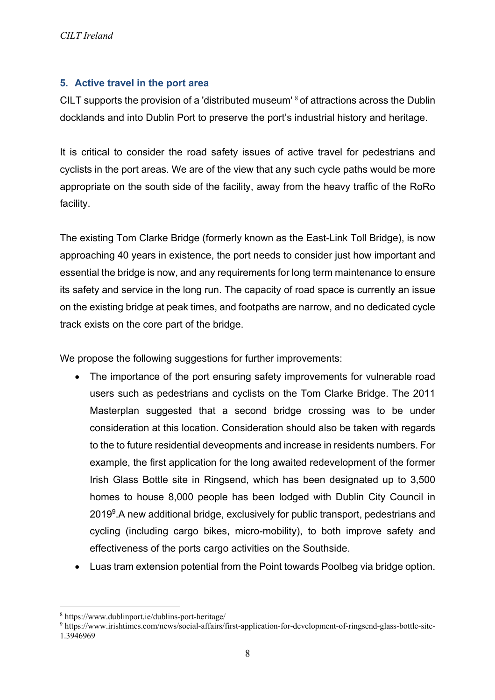## **5. Active travel in the port area**

CILT supports the provision of a 'distributed museum' <sup>8</sup> of attractions across the Dublin docklands and into Dublin Port to preserve the port's industrial history and heritage.

It is critical to consider the road safety issues of active travel for pedestrians and cyclists in the port areas. We are of the view that any such cycle paths would be more appropriate on the south side of the facility, away from the heavy traffic of the RoRo facility.

The existing Tom Clarke Bridge (formerly known as the East-Link Toll Bridge), is now approaching 40 years in existence, the port needs to consider just how important and essential the bridge is now, and any requirements for long term maintenance to ensure its safety and service in the long run. The capacity of road space is currently an issue on the existing bridge at peak times, and footpaths are narrow, and no dedicated cycle track exists on the core part of the bridge.

We propose the following suggestions for further improvements:

- The importance of the port ensuring safety improvements for vulnerable road users such as pedestrians and cyclists on the Tom Clarke Bridge. The 2011 Masterplan suggested that a second bridge crossing was to be under consideration at this location. Consideration should also be taken with regards to the to future residential deveopments and increase in residents numbers. For example, the first application for the long awaited redevelopment of the former Irish Glass Bottle site in Ringsend, which has been designated up to 3,500 homes to house 8,000 people has been lodged with Dublin City Council in 2019<sup>9</sup>. A new additional bridge, exclusively for public transport, pedestrians and cycling (including cargo bikes, micro-mobility), to both improve safety and effectiveness of the ports cargo activities on the Southside.
- Luas tram extension potential from the Point towards Poolbeg via bridge option.

 <sup>8</sup> https://www.dublinport.ie/dublins-port-heritage/

<sup>9</sup> https://www.irishtimes.com/news/social-affairs/first-application-for-development-of-ringsend-glass-bottle-site-1.3946969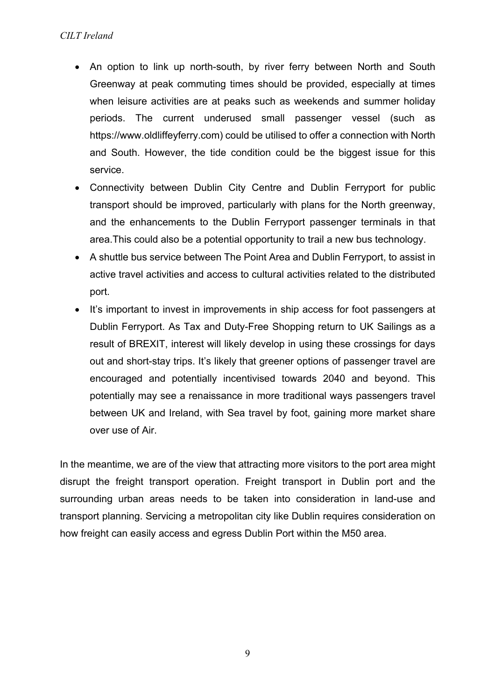- An option to link up north-south, by river ferry between North and South Greenway at peak commuting times should be provided, especially at times when leisure activities are at peaks such as weekends and summer holiday periods. The current underused small passenger vessel (such as https://www.oldliffeyferry.com) could be utilised to offer a connection with North and South. However, the tide condition could be the biggest issue for this service.
- Connectivity between Dublin City Centre and Dublin Ferryport for public transport should be improved, particularly with plans for the North greenway, and the enhancements to the Dublin Ferryport passenger terminals in that area.This could also be a potential opportunity to trail a new bus technology.
- A shuttle bus service between The Point Area and Dublin Ferryport, to assist in active travel activities and access to cultural activities related to the distributed port.
- It's important to invest in improvements in ship access for foot passengers at Dublin Ferryport. As Tax and Duty-Free Shopping return to UK Sailings as a result of BREXIT, interest will likely develop in using these crossings for days out and short-stay trips. It's likely that greener options of passenger travel are encouraged and potentially incentivised towards 2040 and beyond. This potentially may see a renaissance in more traditional ways passengers travel between UK and Ireland, with Sea travel by foot, gaining more market share over use of Air.

In the meantime, we are of the view that attracting more visitors to the port area might disrupt the freight transport operation. Freight transport in Dublin port and the surrounding urban areas needs to be taken into consideration in land-use and transport planning. Servicing a metropolitan city like Dublin requires consideration on how freight can easily access and egress Dublin Port within the M50 area.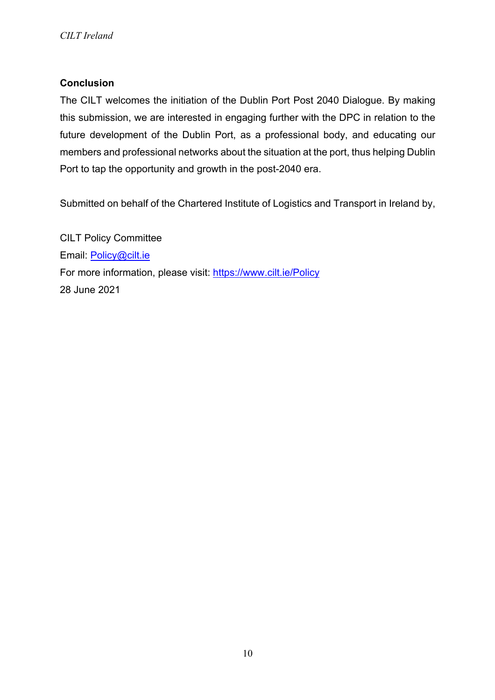# **Conclusion**

The CILT welcomes the initiation of the Dublin Port Post 2040 Dialogue. By making this submission, we are interested in engaging further with the DPC in relation to the future development of the Dublin Port, as a professional body, and educating our members and professional networks about the situation at the port, thus helping Dublin Port to tap the opportunity and growth in the post-2040 era.

Submitted on behalf of the Chartered Institute of Logistics and Transport in Ireland by,

CILT Policy Committee Email: Policy@cilt.ie For more information, please visit: https://www.cilt.ie/Policy 28 June 2021